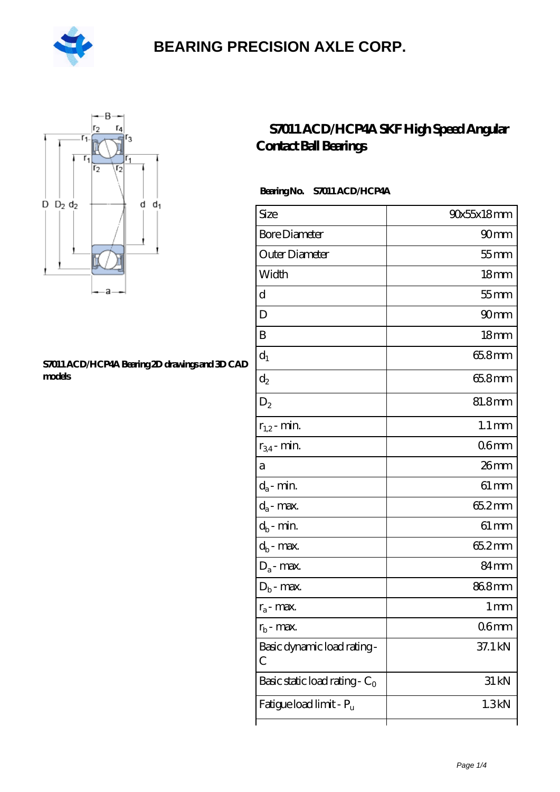



#### **[S7011 ACD/HCP4A Bearing 2D drawings and 3D CAD](https://m.hilalanaokulu.com/pic-660765.html) [models](https://m.hilalanaokulu.com/pic-660765.html)**

### **[S7011 ACD/HCP4A SKF High Speed Angular](https://m.hilalanaokulu.com/skf-bearings/s7011-acd-hcp4a.html) [Contact Ball Bearings](https://m.hilalanaokulu.com/skf-bearings/s7011-acd-hcp4a.html)**

### **Bearing No. S7011 ACD/HCP4A**

| Size                             | 90x55x18mm          |
|----------------------------------|---------------------|
| <b>Bore Diameter</b>             | 90 <sub>mm</sub>    |
| Outer Diameter                   | $55$ mm             |
| Width                            | 18 <sub>mm</sub>    |
| d                                | $55$ mm             |
| D                                | 90 <sub>mm</sub>    |
| B                                | 18 <sub>mm</sub>    |
| $d_1$                            | 65.8mm              |
| $\mathrm{d}_2$                   | 65.8mm              |
| $D_2$                            | 81.8mm              |
| $r_{1,2}$ - min.                 | $1.1 \,\mathrm{mm}$ |
| $r_{34}$ - min.                  | 06mm                |
| а                                | $26$ mm             |
| $d_a$ - min.                     | $61 \, \text{mm}$   |
| $d_a$ - max.                     | 65.2mm              |
| $d_b$ - min.                     | $61 \,\mathrm{mm}$  |
| $d_b$ - max.                     | 65.2mm              |
| $D_a$ - max.                     | 84 <sub>mm</sub>    |
| $D_b$ - max.                     | 868mm               |
| $r_a$ - max.                     | $1 \,\mathrm{mm}$   |
| $r_{\rm b}$ - max.               | 06 <sub>mm</sub>    |
| Basic dynamic load rating-<br>С  | 37.1 kN             |
| Basic static load rating - $C_0$ | 31 kN               |
| Fatigue load limit - Pu          | 1.3kN               |
|                                  |                     |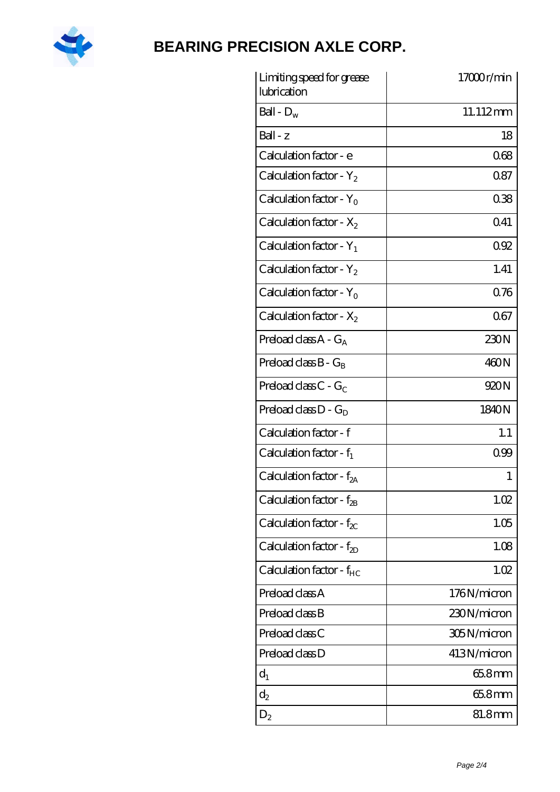

| Limiting speed for grease<br>lubrication | 17000r/min  |
|------------------------------------------|-------------|
| Ball - $D_w$                             | 11.112mm    |
| $Ball - z$                               | 18          |
| Calculation factor - e                   | 068         |
| Calculation factor - $Y_2$               | 087         |
| Calculation factor - Y <sub>0</sub>      | 038         |
| Calculation factor - $X_2$               | 041         |
| Calculation factor - $Y_1$               | 092         |
| Calculation factor - $Y_2$               | 1.41        |
| Calculation factor - $Y_0$               | 0.76        |
| Calculation factor - $X_2$               | 067         |
| Preload class $A - G_A$                  | 230N        |
| Preload class $B - G_B$                  | 460N        |
| Preload class $C - G_C$                  | 920N        |
| Preload class $D - G_D$                  | 1840N       |
| Calculation factor - f                   | 1.1         |
| Calculation factor - $f_1$               | 0.99        |
| Calculation factor - f <sub>2A</sub>     | 1           |
| Calculation factor - $f_{2B}$            | 1.02        |
| Calculation factor - $f_{\chi}$          | 1.05        |
| Calculation factor - $f_{2D}$            | 1.08        |
| Calculation factor - $f_{HC}$            | 1.02        |
| Preload class A                          | 176N/micron |
| Preload class B                          | 230N/micron |
| Preload class C                          | 305N/micron |
| Preload class D                          | 413N/micron |
| $d_1$                                    | $658$ mm    |
| $d_2$                                    | 65.8mm      |
| $D_2$                                    | 81.8mm      |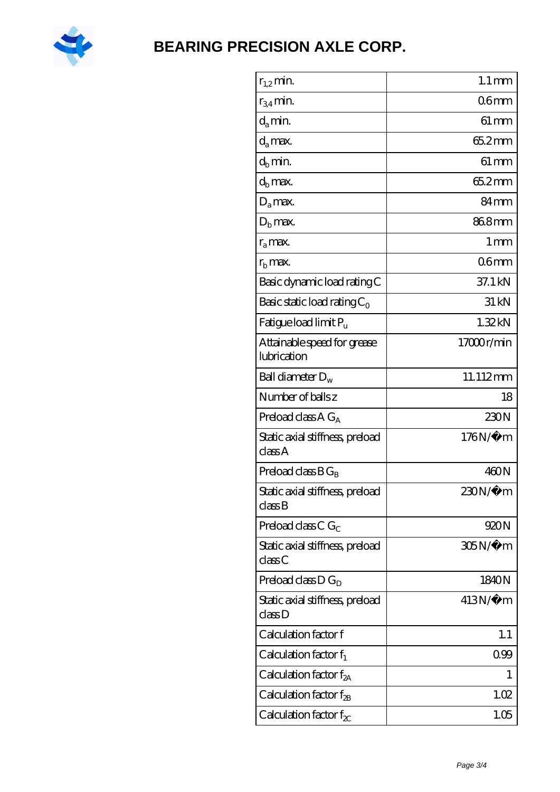

| $r_{1,2}$ min.                             | $1.1 \,\mathrm{mm}$ |
|--------------------------------------------|---------------------|
| $r_{34}$ min.                              | 06 <sub>mm</sub>    |
| $d_a$ min.                                 | $61 \,\mathrm{mm}$  |
| $d_a$ max.                                 | 65.2mm              |
| $d_b$ min.                                 | $61 \, \text{mm}$   |
| $d_h$ max.                                 | 65.2mm              |
| $D_a$ max.                                 | 84 <sub>mm</sub>    |
| $D_{b}$ max.                               | 868mm               |
| $r_a$ max.                                 | $1 \,\mathrm{mm}$   |
| $rb$ max.                                  | 06 <sub>mm</sub>    |
| Basic dynamic load rating C                | 37.1 kN             |
| Basic static load rating $C_0$             | 31 kN               |
| Fatigue load limit P <sub>u</sub>          | 1.32kN              |
| Attainable speed for grease<br>lubrication | 17000r/min          |
| Ball diameter $D_w$                        | 11.112mm            |
| Number of balls z                          | 18                  |
| Preload class $A G_A$                      | 230N                |
| Static axial stiffness, preload<br>classA  | 176N/μ m            |
| Preload class $BG_R$                       | 460N                |
| Static axial stiffness, preload<br>classB  | 230N/µ m            |
| Preload class $CG_C$                       | 920N                |
| Static axial stiffness, preload<br>classC  | 305N/μ m            |
| Preload class $D G_D$                      | 1840N               |
| Static axial stiffness, preload<br>classD  | $413N/\mu$ m        |
| Calculation factor f                       | 1.1                 |
| Calculation factor $f_1$                   | 0.99                |
| Calculation factor f <sub>2A</sub>         | 1                   |
| Calculation factor $f_{\rm 2B}$            | 1.02                |
| Calculation factor $f_{\chi}$              | 1.05                |